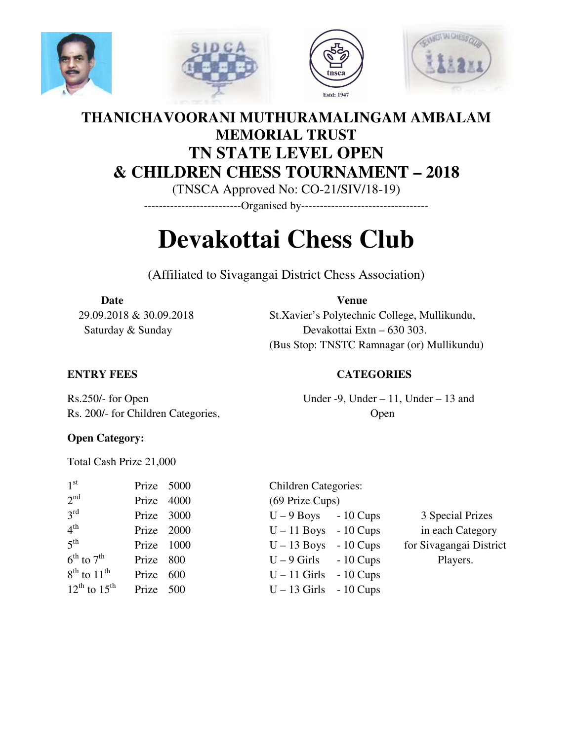







## **THANICHAVOORANI MUTHURAMALINGAM AMBALAM MEMORIAL TRUST TN STATE LEVEL OPEN & CHILDREN CHESS TOURNAMENT – 2018**

(TNSCA Approved No: CO-21/SIV/18-19)

--------------------------Organised by----------------------------------

# **Devakottai Chess Club**

(Affiliated to Sivagangai District Chess Association)

#### Date **Venue**

 29.09.2018 & 30.09.2018 St.Xavier's Polytechnic College, Mullikundu, Saturday & Sunday Devakottai Extn – 630 303. (Bus Stop: TNSTC Ramnagar (or) Mullikundu)

#### **ENTRY FEES CATEGORIES**

Rs.250/- for Open Under -9, Under  $-11$ , Under  $-13$  and Rs. 200/- for Children Categories, Open

#### **Open Category:**

Total Cash Prize 21,000

| 1 <sup>st</sup>        | Prize $5000$ |  |
|------------------------|--------------|--|
| 2 <sup>nd</sup>        | Prize 4000   |  |
| $3^{\text{rd}}$        | Prize 3000   |  |
| 4 <sup>th</sup>        | Prize 2000   |  |
| 5 <sup>th</sup>        | Prize 1000   |  |
| $6^{th}$ to $7^{th}$   | Prize 800    |  |
| $8^{th}$ to $11^{th}$  | Prize 600    |  |
| $12^{th}$ to $15^{th}$ | Prize 500    |  |

Children Categories:  $(69$  Prize Cups)  $U - 9$  Boys - 10 Cups 3 Special Prizes  $U - 11$  Boys - 10 Cups in each Category  $U - 13$  Boys - 10 Cups for Sivagangai District  $U - 9$  Girls - 10 Cups Players.  $U - 11$  Girls - 10 Cups  $U - 13$  Girls - 10 Cups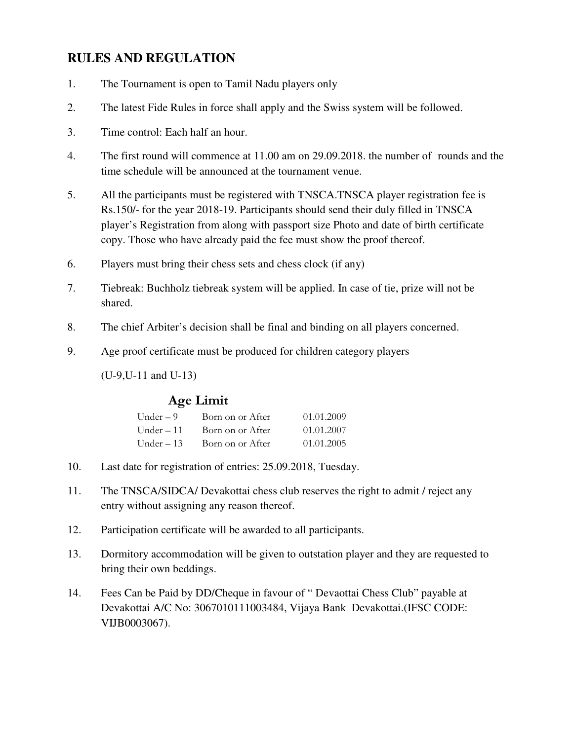### **RULES AND REGULATION**

- 1. The Tournament is open to Tamil Nadu players only
- 2. The latest Fide Rules in force shall apply and the Swiss system will be followed.
- 3. Time control: Each half an hour.
- 4. The first round will commence at 11.00 am on 29.09.2018. the number of rounds and the time schedule will be announced at the tournament venue.
- 5. All the participants must be registered with TNSCA.TNSCA player registration fee is Rs.150/- for the year 2018-19. Participants should send their duly filled in TNSCA player's Registration from along with passport size Photo and date of birth certificate copy. Those who have already paid the fee must show the proof thereof.
- 6. Players must bring their chess sets and chess clock (if any)
- 7. Tiebreak: Buchholz tiebreak system will be applied. In case of tie, prize will not be shared.
- 8. The chief Arbiter's decision shall be final and binding on all players concerned.
- 9. Age proof certificate must be produced for children category players

(U-9,U-11 and U-13)

#### **Age Limit**

| Under $-9$  | Born on or After | 01.01.2009 |
|-------------|------------------|------------|
| Under $-11$ | Born on or After | 01.01.2007 |
| Under $-13$ | Born on or After | 01.01.2005 |

- 10. Last date for registration of entries: 25.09.2018, Tuesday.
- 11. The TNSCA/SIDCA/ Devakottai chess club reserves the right to admit / reject any entry without assigning any reason thereof.
- 12. Participation certificate will be awarded to all participants.
- 13. Dormitory accommodation will be given to outstation player and they are requested to bring their own beddings.
- 14. Fees Can be Paid by DD/Cheque in favour of " Devaottai Chess Club" payable at Devakottai A/C No: 3067010111003484, Vijaya Bank Devakottai.(IFSC CODE: VIJB0003067).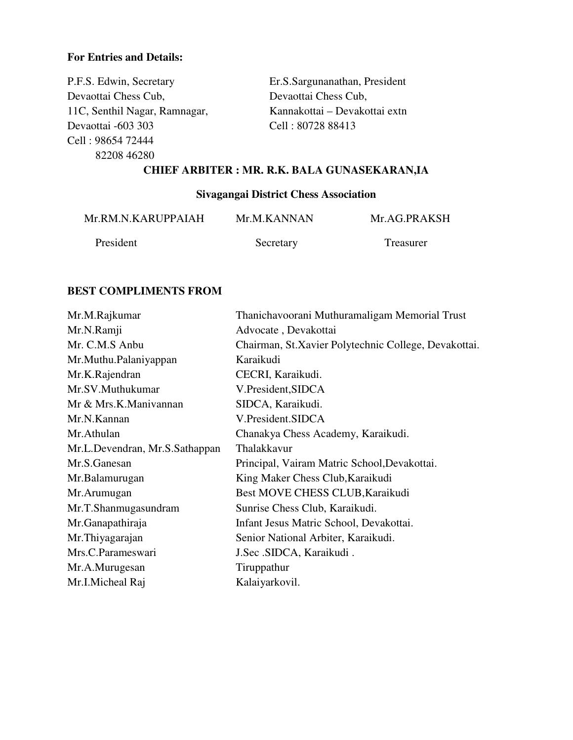#### **For Entries and Details:**

P.F.S. Edwin, Secretary Er.S.Sargunanathan, President Devaottai Chess Cub, Devaottai Chess Cub, 11C, Senthil Nagar, Ramnagar, Kannakottai – Devakottai extn Devaottai -603 303 Cell : 80728 88413 Cell : 98654 72444 82208 46280

#### **CHIEF ARBITER : MR. R.K. BALA GUNASEKARAN,IA**

#### **Sivagangai District Chess Association**

| Mr.RM.N.KARUPPAIAH | Mr.M.KANNAN | Mr.AG.PRAKSH |
|--------------------|-------------|--------------|
| President          | Secretary   | Treasurer    |

#### **BEST COMPLIMENTS FROM**

| Mr.M.Rajkumar                  | Thanichavoorani Muthuramaligam Memorial Trust        |
|--------------------------------|------------------------------------------------------|
| Mr.N.Ramji                     | Advocate, Devakottai                                 |
| Mr. C.M.S Anbu                 | Chairman, St.Xavier Polytechnic College, Devakottai. |
| Mr.Muthu.Palaniyappan          | Karaikudi                                            |
| Mr.K.Rajendran                 | CECRI, Karaikudi.                                    |
| Mr.SV.Muthukumar               | V.President, SIDCA                                   |
| Mr & Mrs.K.Manivannan          | SIDCA, Karaikudi.                                    |
| Mr.N.Kannan                    | V.President.SIDCA                                    |
| Mr.Athulan                     | Chanakya Chess Academy, Karaikudi.                   |
| Mr.L.Devendran, Mr.S.Sathappan | Thalakkavur                                          |
| Mr.S.Ganesan                   | Principal, Vairam Matric School, Devakottai.         |
| Mr.Balamurugan                 | King Maker Chess Club, Karaikudi                     |
| Mr.Arumugan                    | Best MOVE CHESS CLUB, Karaikudi                      |
| Mr.T.Shanmugasundram           | Sunrise Chess Club, Karaikudi.                       |
| Mr.Ganapathiraja               | Infant Jesus Matric School, Devakottai.              |
| Mr. Thiyagarajan               | Senior National Arbiter, Karaikudi.                  |
| Mrs.C.Parameswari              | J.Sec .SIDCA, Karaikudi.                             |
| Mr.A.Murugesan                 | Tiruppathur                                          |
| Mr.I.Micheal Raj               | Kalaiyarkovil.                                       |
|                                |                                                      |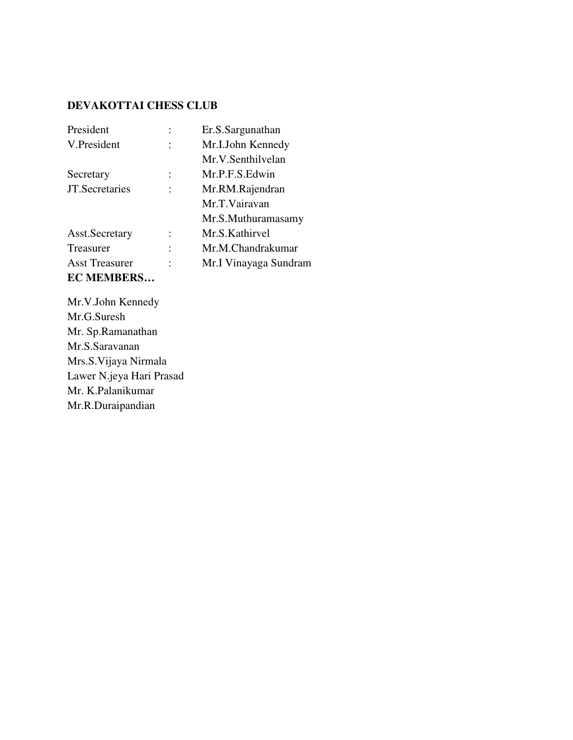#### **DEVAKOTTAI CHESS CLUB**

| President             | Er.S.Sargunathan      |
|-----------------------|-----------------------|
| V.President           | Mr.I.John Kennedy     |
|                       | Mr.V.Senthilvelan     |
| Secretary             | Mr.P.F.S.Edwin        |
| JT.Secretaries        | Mr.RM.Rajendran       |
|                       | Mr.T.Vairavan         |
|                       | Mr.S.Muthuramasamy    |
| Asst. Secretary       | Mr.S.Kathirvel        |
| Treasurer             | Mr.M.Chandrakumar     |
| <b>Asst Treasurer</b> | Mr.I Vinayaga Sundram |
| <b>EC MEMBERS</b>     |                       |

Mr.V.John Kennedy Mr.G.Suresh Mr. Sp.Ramanathan Mr.S.Saravanan Mrs.S.Vijaya Nirmala Lawer N.jeya Hari Prasad Mr. K.Palanikumar Mr.R.Duraipandian